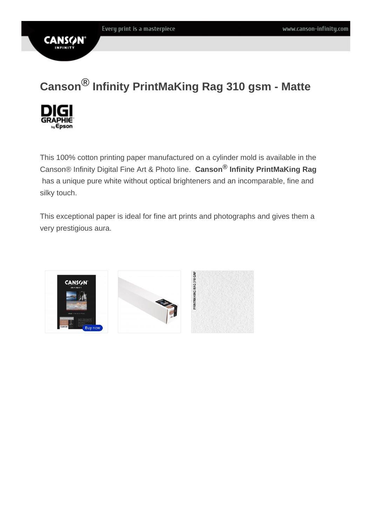# Canson ® Infinity PrintMaKing Rag 310 gsm - Matte

This 100% cotton printing paper manufactured on a cylinder mold is available in the Canson® Infinity Digital Fine Art & Photo line. Canson ® Infinity PrintMaKing Rag has a unique pure white without optical brighteners and an incomparable, fine and silky touch.

This exceptional paper is ideal for fine art prints and photographs and gives them a very prestigious aura.

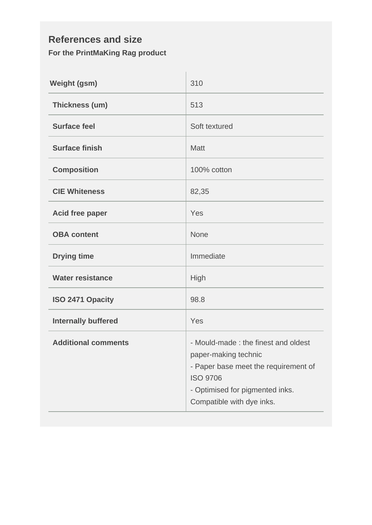### **References and size For the PrintMaKing Rag product**

| <b>Weight (gsm)</b>        | 310                                                                                                                                                                                    |  |  |
|----------------------------|----------------------------------------------------------------------------------------------------------------------------------------------------------------------------------------|--|--|
| Thickness (um)             | 513                                                                                                                                                                                    |  |  |
| <b>Surface feel</b>        | Soft textured                                                                                                                                                                          |  |  |
| <b>Surface finish</b>      | <b>Matt</b>                                                                                                                                                                            |  |  |
| <b>Composition</b>         | 100% cotton                                                                                                                                                                            |  |  |
| <b>CIE Whiteness</b>       | 82,35                                                                                                                                                                                  |  |  |
| <b>Acid free paper</b>     | Yes                                                                                                                                                                                    |  |  |
| <b>OBA content</b>         | <b>None</b>                                                                                                                                                                            |  |  |
| <b>Drying time</b>         | Immediate                                                                                                                                                                              |  |  |
| <b>Water resistance</b>    | High                                                                                                                                                                                   |  |  |
| ISO 2471 Opacity           | 98.8                                                                                                                                                                                   |  |  |
| <b>Internally buffered</b> | Yes                                                                                                                                                                                    |  |  |
| <b>Additional comments</b> | - Mould-made: the finest and oldest<br>paper-making technic<br>- Paper base meet the requirement of<br><b>ISO 9706</b><br>- Optimised for pigmented inks.<br>Compatible with dye inks. |  |  |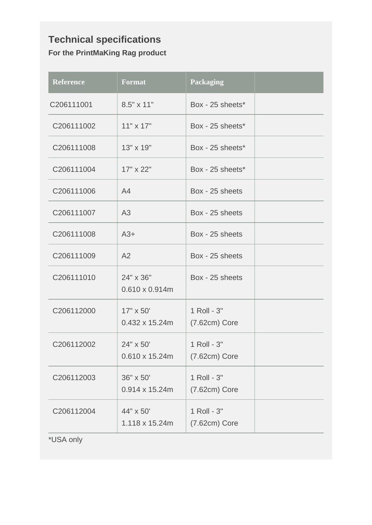## **Technical specifications For the PrintMaKing Rag product**

| <b>Reference</b> | <b>Format</b>                              | <b>Packaging</b>               |  |
|------------------|--------------------------------------------|--------------------------------|--|
| C206111001       | 8.5" x 11"                                 | Box - 25 sheets*               |  |
| C206111002       | $11" \times 17"$                           | Box - 25 sheets*               |  |
| C206111008       | 13" x 19"                                  | Box - 25 sheets*               |  |
| C206111004       | 17" x 22"                                  | Box - 25 sheets*               |  |
| C206111006       | A4                                         | Box - 25 sheets                |  |
| C206111007       | A3                                         | Box - 25 sheets                |  |
| C206111008       | $A3+$                                      | Box - 25 sheets                |  |
| C206111009       | A2                                         | Box - 25 sheets                |  |
| C206111010       | 24" x 36"<br>$0.610 \times 0.914$ m        | Box - 25 sheets                |  |
| C206112000       | $17" \times 50'$<br>$0.432 \times 15.24$ m | 1 Roll - 3"<br>$(7.62cm)$ Core |  |
| C206112002       | 24" x 50'<br>$0.610 \times 15.24$ m        | 1 Roll - 3"<br>$(7.62cm)$ Core |  |
| C206112003       | 36" x 50'<br>$0.914 \times 15.24$ m        | 1 Roll - 3"<br>$(7.62cm)$ Core |  |
| C206112004       | 44" x 50"<br>1.118 x 15.24m                | 1 Roll - 3"<br>$(7.62cm)$ Core |  |
| *USA only        |                                            |                                |  |